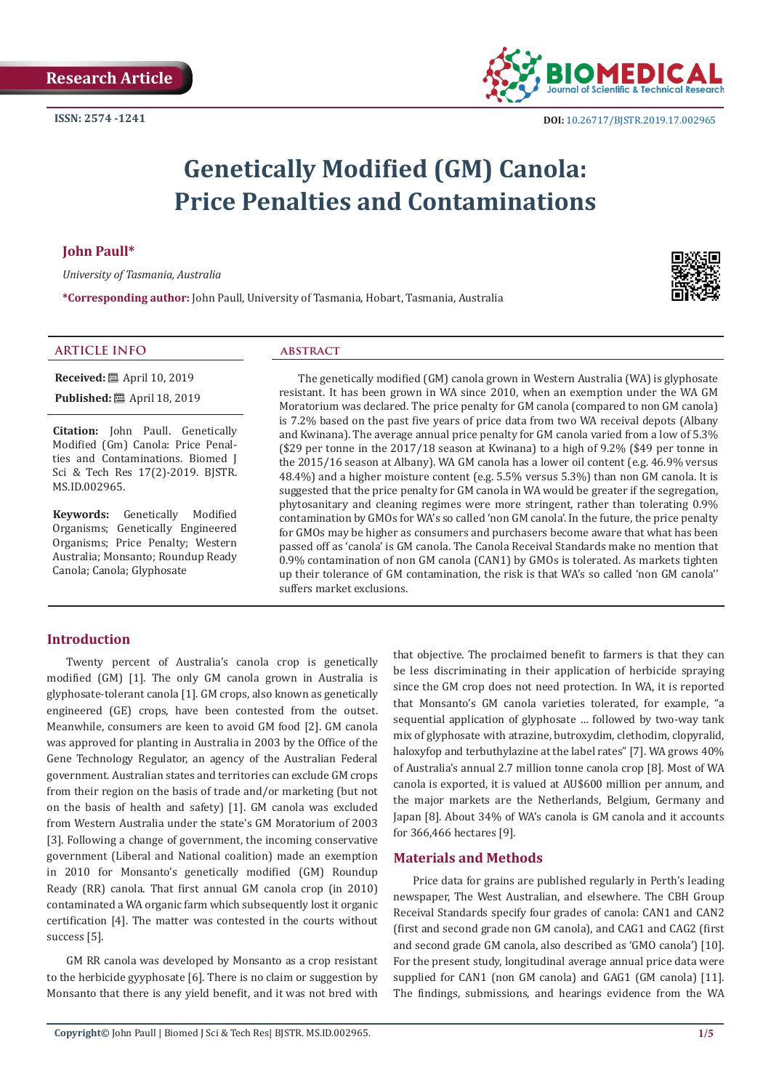

# **Genetically Modified (GM) Canola: Price Penalties and Contaminations**

# **John Paull\***

*University of Tasmania, Australia*

**\*Corresponding author:** John Paull, University of Tasmania, Hobart, Tasmania, Australia

# **ARTICLE INFO abstract**

**Received:** ■ April 10, 2019 **Published:** ■ April 18, 2019

**Citation:** John Paull. Genetically Modified (Gm) Canola: Price Penalties and Contaminations. Biomed J Sci & Tech Res 17(2)-2019. BJSTR. MS.ID.002965.

**Keywords:** Genetically Modified Organisms; Genetically Engineered Organisms; Price Penalty; Western Australia; Monsanto; Roundup Ready Canola; Canola; Glyphosate

The genetically modified (GM) canola grown in Western Australia (WA) is glyphosate resistant. It has been grown in WA since 2010, when an exemption under the WA GM Moratorium was declared. The price penalty for GM canola (compared to non GM canola) is 7.2% based on the past five years of price data from two WA receival depots (Albany and Kwinana). The average annual price penalty for GM canola varied from a low of 5.3% (\$29 per tonne in the 2017/18 season at Kwinana) to a high of 9.2% (\$49 per tonne in the 2015/16 season at Albany). WA GM canola has a lower oil content (e.g. 46.9% versus 48.4%) and a higher moisture content (e.g. 5.5% versus 5.3%) than non GM canola. It is suggested that the price penalty for GM canola in WA would be greater if the segregation, phytosanitary and cleaning regimes were more stringent, rather than tolerating 0.9% contamination by GMOs for WA's so called 'non GM canola'. In the future, the price penalty for GMOs may be higher as consumers and purchasers become aware that what has been passed off as 'canola' is GM canola. The Canola Receival Standards make no mention that 0.9% contamination of non GM canola (CAN1) by GMOs is tolerated. As markets tighten up their tolerance of GM contamination, the risk is that WA's so called 'non GM canola'' suffers market exclusions.

# **Introduction**

Twenty percent of Australia's canola crop is genetically modified (GM) [1]. The only GM canola grown in Australia is glyphosate-tolerant canola [1]. GM crops, also known as genetically engineered (GE) crops, have been contested from the outset. Meanwhile, consumers are keen to avoid GM food [2]. GM canola was approved for planting in Australia in 2003 by the Office of the Gene Technology Regulator, an agency of the Australian Federal government. Australian states and territories can exclude GM crops from their region on the basis of trade and/or marketing (but not on the basis of health and safety) [1]. GM canola was excluded from Western Australia under the state's GM Moratorium of 2003 [3]. Following a change of government, the incoming conservative government (Liberal and National coalition) made an exemption in 2010 for Monsanto's genetically modified (GM) Roundup Ready (RR) canola. That first annual GM canola crop (in 2010) contaminated a WA organic farm which subsequently lost it organic certification [4]. The matter was contested in the courts without success [5].

GM RR canola was developed by Monsanto as a crop resistant to the herbicide gyyphosate [6]. There is no claim or suggestion by Monsanto that there is any yield benefit, and it was not bred with that objective. The proclaimed benefit to farmers is that they can be less discriminating in their application of herbicide spraying since the GM crop does not need protection. In WA, it is reported that Monsanto's GM canola varieties tolerated, for example, "a sequential application of glyphosate … followed by two-way tank mix of glyphosate with atrazine, butroxydim, clethodim, clopyralid, haloxyfop and terbuthylazine at the label rates" [7]. WA grows 40% of Australia's annual 2.7 million tonne canola crop [8]. Most of WA canola is exported, it is valued at AU\$600 million per annum, and the major markets are the Netherlands, Belgium, Germany and Japan [8]. About 34% of WA's canola is GM canola and it accounts for 366,466 hectares [9].

#### **Materials and Methods**

Price data for grains are published regularly in Perth's leading newspaper, The West Australian, and elsewhere. The CBH Group Receival Standards specify four grades of canola: CAN1 and CAN2 (first and second grade non GM canola), and CAG1 and CAG2 (first and second grade GM canola, also described as 'GMO canola') [10]. For the present study, longitudinal average annual price data were supplied for CAN1 (non GM canola) and GAG1 (GM canola) [11]. The findings, submissions, and hearings evidence from the WA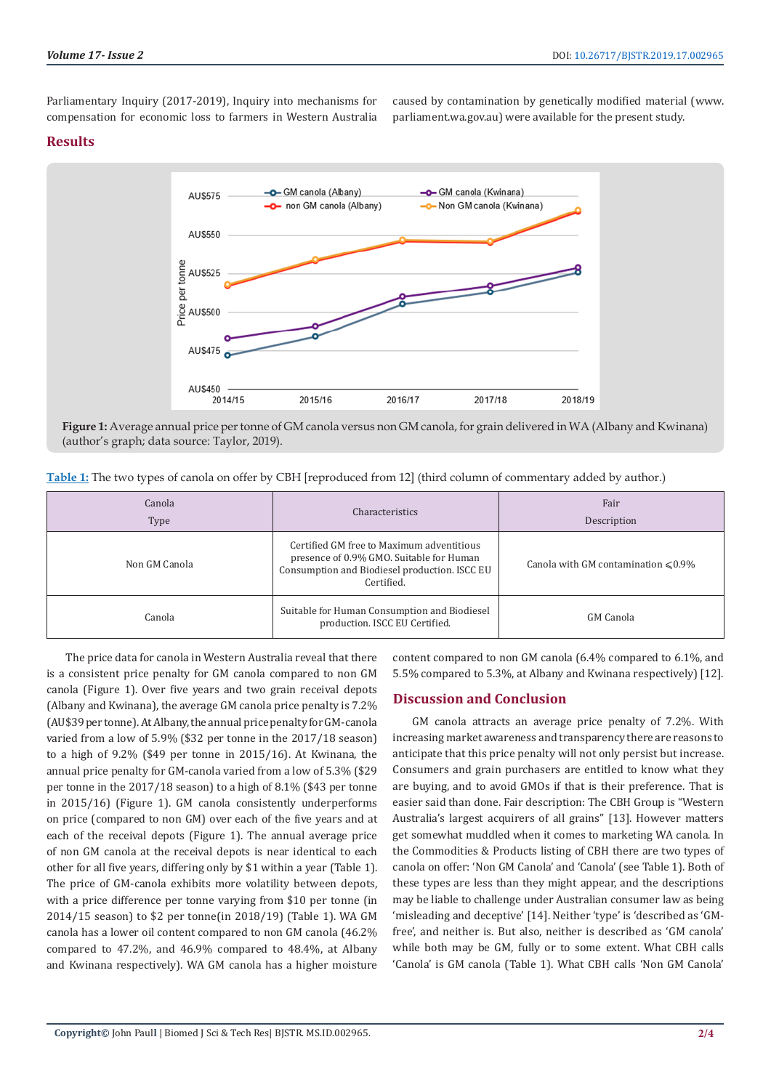Parliamentary Inquiry (2017-2019), Inquiry into mechanisms for compensation for economic loss to farmers in Western Australia caused by contamination by genetically modified material (www. parliament.wa.gov.au) were available for the present study.

# **Results**



**Figure 1:** Average annual price per tonne of GM canola versus non GM canola, for grain delivered in WA (Albany and Kwinana) (author's graph; data source: Taylor, 2019).

| Table 1: The two types of canola on offer by CBH [reproduced from 12] (third column of commentary added by author.) |  |  |  |
|---------------------------------------------------------------------------------------------------------------------|--|--|--|
|---------------------------------------------------------------------------------------------------------------------|--|--|--|

| Canola<br>Type | Characteristics                                                                                                                                      | Fair<br>Description                       |
|----------------|------------------------------------------------------------------------------------------------------------------------------------------------------|-------------------------------------------|
| Non GM Canola  | Certified GM free to Maximum adventitious<br>presence of 0.9% GMO. Suitable for Human<br>Consumption and Biodiesel production. ISCC EU<br>Certified. | Canola with GM contamination $\leq 0.9\%$ |
| Canola         | Suitable for Human Consumption and Biodiesel<br>production. ISCC EU Certified.                                                                       | GM Canola                                 |

The price data for canola in Western Australia reveal that there is a consistent price penalty for GM canola compared to non GM canola (Figure 1). Over five years and two grain receival depots (Albany and Kwinana), the average GM canola price penalty is 7.2% (AU\$39 per tonne). At Albany, the annual price penalty for GM-canola varied from a low of 5.9% (\$32 per tonne in the 2017/18 season) to a high of 9.2% (\$49 per tonne in 2015/16). At Kwinana, the annual price penalty for GM-canola varied from a low of 5.3% (\$29 per tonne in the 2017/18 season) to a high of 8.1% (\$43 per tonne in 2015/16) (Figure 1). GM canola consistently underperforms on price (compared to non GM) over each of the five years and at each of the receival depots (Figure 1). The annual average price of non GM canola at the receival depots is near identical to each other for all five years, differing only by \$1 within a year (Table 1). The price of GM-canola exhibits more volatility between depots, with a price difference per tonne varying from \$10 per tonne (in 2014/15 season) to \$2 per tonne(in 2018/19) (Table 1). WA GM canola has a lower oil content compared to non GM canola (46.2% compared to 47.2%, and 46.9% compared to 48.4%, at Albany and Kwinana respectively). WA GM canola has a higher moisture

content compared to non GM canola (6.4% compared to 6.1%, and 5.5% compared to 5.3%, at Albany and Kwinana respectively) [12].

# **Discussion and Conclusion**

GM canola attracts an average price penalty of 7.2%. With increasing market awareness and transparency there are reasons to anticipate that this price penalty will not only persist but increase. Consumers and grain purchasers are entitled to know what they are buying, and to avoid GMOs if that is their preference. That is easier said than done. Fair description: The CBH Group is "Western Australia's largest acquirers of all grains" [13]. However matters get somewhat muddled when it comes to marketing WA canola. In the Commodities & Products listing of CBH there are two types of canola on offer: 'Non GM Canola' and 'Canola' (see Table 1). Both of these types are less than they might appear, and the descriptions may be liable to challenge under Australian consumer law as being 'misleading and deceptive' [14]. Neither 'type' is 'described as 'GMfree', and neither is. But also, neither is described as 'GM canola' while both may be GM, fully or to some extent. What CBH calls 'Canola' is GM canola (Table 1). What CBH calls 'Non GM Canola'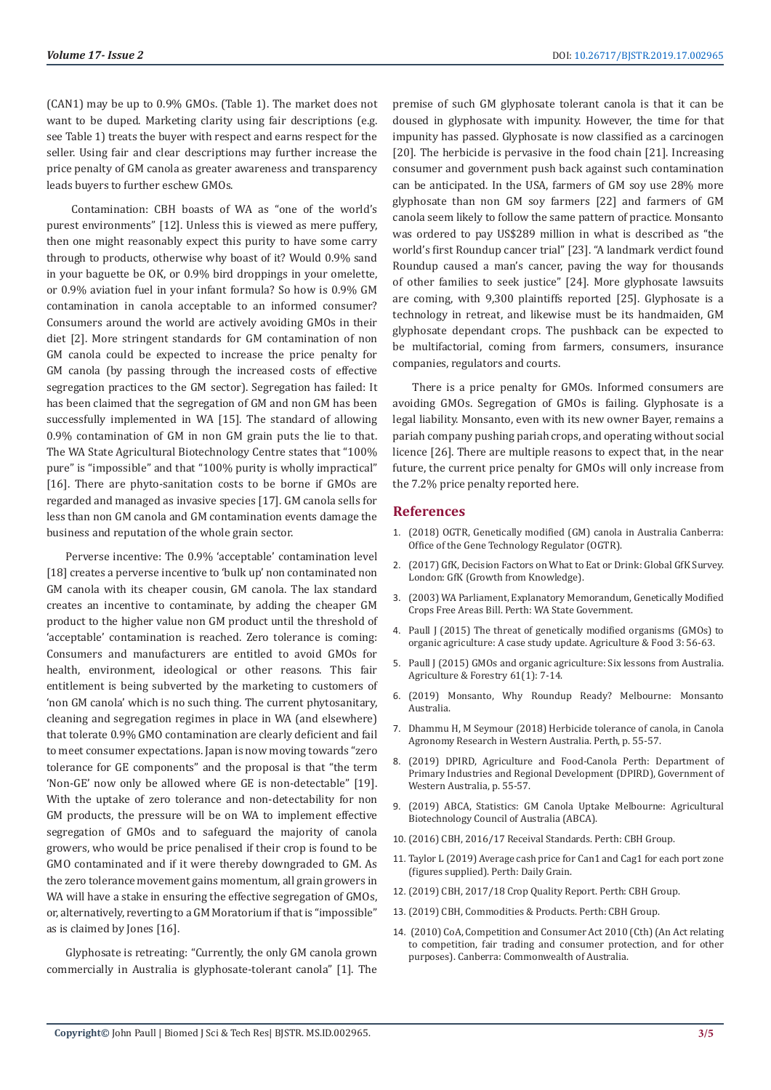(CAN1) may be up to 0.9% GMOs. (Table 1). The market does not want to be duped. Marketing clarity using fair descriptions (e.g. see Table 1) treats the buyer with respect and earns respect for the seller. Using fair and clear descriptions may further increase the price penalty of GM canola as greater awareness and transparency leads buyers to further eschew GMOs.

 Contamination: CBH boasts of WA as "one of the world's purest environments" [12]. Unless this is viewed as mere puffery, then one might reasonably expect this purity to have some carry through to products, otherwise why boast of it? Would 0.9% sand in your baguette be OK, or 0.9% bird droppings in your omelette, or 0.9% aviation fuel in your infant formula? So how is 0.9% GM contamination in canola acceptable to an informed consumer? Consumers around the world are actively avoiding GMOs in their diet [2]. More stringent standards for GM contamination of non GM canola could be expected to increase the price penalty for GM canola (by passing through the increased costs of effective segregation practices to the GM sector). Segregation has failed: It has been claimed that the segregation of GM and non GM has been successfully implemented in WA [15]. The standard of allowing 0.9% contamination of GM in non GM grain puts the lie to that. The WA State Agricultural Biotechnology Centre states that "100% pure" is "impossible" and that "100% purity is wholly impractical" [16]. There are phyto-sanitation costs to be borne if GMOs are regarded and managed as invasive species [17]. GM canola sells for less than non GM canola and GM contamination events damage the business and reputation of the whole grain sector.

Perverse incentive: The 0.9% 'acceptable' contamination level [18] creates a perverse incentive to 'bulk up' non contaminated non GM canola with its cheaper cousin, GM canola. The lax standard creates an incentive to contaminate, by adding the cheaper GM product to the higher value non GM product until the threshold of 'acceptable' contamination is reached. Zero tolerance is coming: Consumers and manufacturers are entitled to avoid GMOs for health, environment, ideological or other reasons. This fair entitlement is being subverted by the marketing to customers of 'non GM canola' which is no such thing. The current phytosanitary, cleaning and segregation regimes in place in WA (and elsewhere) that tolerate 0.9% GMO contamination are clearly deficient and fail to meet consumer expectations. Japan is now moving towards "zero tolerance for GE components" and the proposal is that "the term 'Non-GE' now only be allowed where GE is non-detectable" [19]. With the uptake of zero tolerance and non-detectability for non GM products, the pressure will be on WA to implement effective segregation of GMOs and to safeguard the majority of canola growers, who would be price penalised if their crop is found to be GMO contaminated and if it were thereby downgraded to GM. As the zero tolerance movement gains momentum, all grain growers in WA will have a stake in ensuring the effective segregation of GMOs, or, alternatively, reverting to a GM Moratorium if that is "impossible" as is claimed by Jones [16].

Glyphosate is retreating: "Currently, the only GM canola grown commercially in Australia is glyphosate-tolerant canola" [1]. The premise of such GM glyphosate tolerant canola is that it can be doused in glyphosate with impunity. However, the time for that impunity has passed. Glyphosate is now classified as a carcinogen [20]. The herbicide is pervasive in the food chain [21]. Increasing consumer and government push back against such contamination can be anticipated. In the USA, farmers of GM soy use 28% more glyphosate than non GM soy farmers [22] and farmers of GM canola seem likely to follow the same pattern of practice. Monsanto was ordered to pay US\$289 million in what is described as "the world's first Roundup cancer trial" [23]. "A landmark verdict found Roundup caused a man's cancer, paving the way for thousands of other families to seek justice" [24]. More glyphosate lawsuits are coming, with 9,300 plaintiffs reported [25]. Glyphosate is a technology in retreat, and likewise must be its handmaiden, GM glyphosate dependant crops. The pushback can be expected to be multifactorial, coming from farmers, consumers, insurance companies, regulators and courts.

There is a price penalty for GMOs. Informed consumers are avoiding GMOs. Segregation of GMOs is failing. Glyphosate is a legal liability. Monsanto, even with its new owner Bayer, remains a pariah company pushing pariah crops, and operating without social licence [26]. There are multiple reasons to expect that, in the near future, the current price penalty for GMOs will only increase from the 7.2% price penalty reported here.

# **References**

- 1. (2018) OGTR, Genetically modified (GM) canola in Australia Canberra: Office of the Gene Technology Regulator (OGTR).
- 2. (2017) GfK, Decision Factors on What to Eat or Drink: Global GfK Survey. London: GfK (Growth from Knowledge).
- 3. (2003) WA Parliament, Explanatory Memorandum, Genetically Modified Crops Free Areas Bill. Perth: WA State Government.
- 4. [Paull J \(2015\) The threat of genetically modified organisms \(GMOs\) to](https://www.researchgate.net/publication/279756496_The_threat_of_genetically_modified_organisms_GMOs_to_organic_agriculture_A_case_study_update) [organic agriculture: A case study update. Agriculture & Food 3: 56-63.](https://www.researchgate.net/publication/279756496_The_threat_of_genetically_modified_organisms_GMOs_to_organic_agriculture_A_case_study_update)
- 5. [Paull J \(2015\) GMOs and organic agriculture: Six lessons from Australia.](http://orgprints.org/28525/) [Agriculture & Forestry 61\(1\): 7-14.](http://orgprints.org/28525/)
- 6. (2019) Monsanto, Why Roundup Ready? Melbourne: Monsanto Australia.
- 7. Dhammu H, M Seymour (2018) Herbicide tolerance of canola, in Canola Agronomy Research in Western Australia. Perth, p. 55-57.
- 8. (2019) DPIRD, Agriculture and Food-Canola Perth: Department of Primary Industries and Regional Development (DPIRD), Government of Western Australia, p. 55-57.
- 9. (2019) ABCA, Statistics: GM Canola Uptake Melbourne: Agricultural Biotechnology Council of Australia (ABCA).
- 10. (2016) CBH, 2016/17 Receival Standards. Perth: CBH Group.
- 11. Taylor L (2019) Average cash price for Can1 and Cag1 for each port zone (figures supplied). Perth: Daily Grain.
- 12. (2019) CBH, 2017/18 Crop Quality Report. Perth: CBH Group.
- 13. (2019) CBH, Commodities & Products. Perth: CBH Group.
- 14. (2010) CoA, Competition and Consumer Act 2010 (Cth) (An Act relating to competition, fair trading and consumer protection, and for other purposes). Canberra: Commonwealth of Australia.